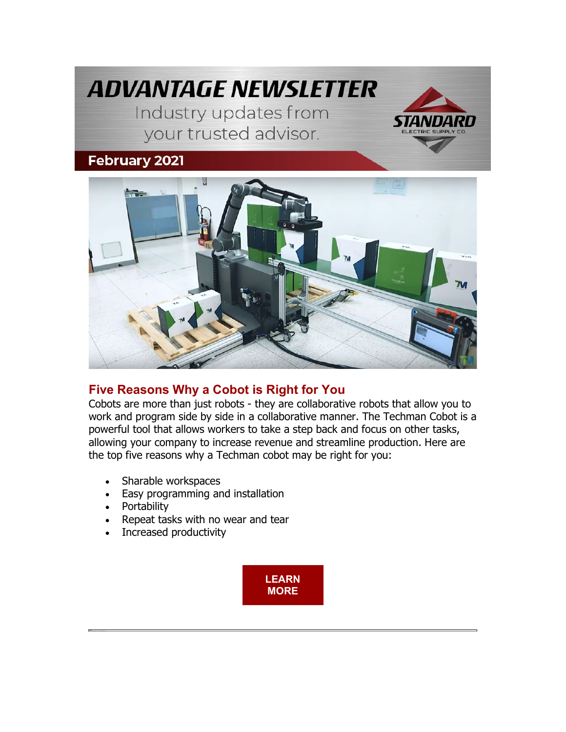



# **[Five Reasons Why a Cobot is Right for You](https://nam04.safelinks.protection.outlook.com/?url=https%3A%2F%2Finfo.standardelectricsupply.com%2Fe2t%2Ftc%2FVVSrP54M4ZD7W4kVyQT94-_WtW6J3_6X4p1HCkN8pR4D73p_b1V1-WJV7CgCvXW8f2z8Z1x8pn_W4pxd208FhrXfW5-PYm01NGFH-W3JJ-yn44YDy_W4myLnv5h03ZnW6kvR0m4LqRq7W8_2fqB3yFLlyW73mlj-1WQ53CW8F9zHZ16SmjJW6FMC2F5j1gmsW6gG9PQ2hyQJyW6rTyDz4knGlHW44-MGV30nzw4V7YtJc47g_98V9Nl9J6Bdxg6W8-JCh94g8LtvW26Rjbs4TL54sW5K93JS1tv4N0W99NsCw7clf4GN8nVs7mhZB9CVBFK_M671Vr-W7L8PXx2rwc8JW10QsVg53f_GFW1fsW0P2Z14bTW7rvdcg4MvM-cVlpGR16ZshDmW2msHBG8qMzvdN1zbZ6Y_c-_4N4Klgyz3vJ2TN9036CPw__B737Q-1&data=04%7C01%7Cdgebelein%40standardelectricsupply.com%7Cb18e539c114d4a0a2dc108d8e4a2b51c%7C4b02a9df33c0464e84121b8c3bcfec3c%7C0%7C0%7C637510734759234692%7CUnknown%7CTWFpbGZsb3d8eyJWIjoiMC4wLjAwMDAiLCJQIjoiV2luMzIiLCJBTiI6Ik1haWwiLCJXVCI6Mn0%3D%7C1000&sdata=VZ0AhgtkE2xUxS6UMfXywWxBZrIvTkX4MUC5lhoi%2Bgo%3D&reserved=0)**

Cobots are more than just robots - they are collaborative robots that allow you to work and program side by side in a collaborative manner. The Techman Cobot is a powerful tool that allows workers to take a step back and focus on other tasks, allowing your company to increase revenue and streamline production. Here are the top five reasons why a Techman cobot may be right for you:

- Sharable workspaces
- Easy programming and installation
- Portability
- Repeat tasks with no wear and tear
- Increased productivity

**[LEARN](https://nam04.safelinks.protection.outlook.com/?url=https%3A%2F%2Finfo.standardelectricsupply.com%2Fe2t%2Ftc%2FVVSrP54M4ZD7W4kVyQT94-_WtW6J3_6X4p1HCkN8pR4D73p_b1V1-WJV7CgPXgVtNK278NgWBsW8_9VW-8cxVPRW6pQVyN59dz1JW80n9cg8Ymq9_VvMt0_98fJfgN8GjPZsNQgXhW2xhxHg73Jwm9W76vSZ51gXlyGW3JbcTv5kGXmyN3ntCgpRD9DSW6LMVv51XxMQRW95kfDg1Y9jdnW6mty7s1kQl0cW4cXXrZ5jFtjNW6xxn6F4FlP0ZW1zN5mN97rD-MW42jYf-5mPpllN5rr32M4YfYTW4vG6_K4cBgQnW46jqny8Ndwl6W6mbMKV3K5qMQW4QPjwJ2TvQfYW1LKXth85r6LdW2ZdTxt8SPngKW1z31CP1_z83MW8y2WkC2SJbVFW5CtYqX1T88sBW8XnXzT3g8jhSW7sXmFL6QQz2bW93LVBq1PPYhq31mD1&data=04%7C01%7Cdgebelein%40standardelectricsupply.com%7Cb18e539c114d4a0a2dc108d8e4a2b51c%7C4b02a9df33c0464e84121b8c3bcfec3c%7C0%7C0%7C637510734759234692%7CUnknown%7CTWFpbGZsb3d8eyJWIjoiMC4wLjAwMDAiLCJQIjoiV2luMzIiLCJBTiI6Ik1haWwiLCJXVCI6Mn0%3D%7C1000&sdata=tY%2FeIqhojuW5wqCM5BwOR1vUsVkWzb09wIi5zfVm4U8%3D&reserved=0)  [MORE](https://nam04.safelinks.protection.outlook.com/?url=https%3A%2F%2Finfo.standardelectricsupply.com%2Fe2t%2Ftc%2FVVSrP54M4ZD7W4kVyQT94-_WtW6J3_6X4p1HCkN8pR4D73p_b1V1-WJV7CgPXgVtNK278NgWBsW8_9VW-8cxVPRW6pQVyN59dz1JW80n9cg8Ymq9_VvMt0_98fJfgN8GjPZsNQgXhW2xhxHg73Jwm9W76vSZ51gXlyGW3JbcTv5kGXmyN3ntCgpRD9DSW6LMVv51XxMQRW95kfDg1Y9jdnW6mty7s1kQl0cW4cXXrZ5jFtjNW6xxn6F4FlP0ZW1zN5mN97rD-MW42jYf-5mPpllN5rr32M4YfYTW4vG6_K4cBgQnW46jqny8Ndwl6W6mbMKV3K5qMQW4QPjwJ2TvQfYW1LKXth85r6LdW2ZdTxt8SPngKW1z31CP1_z83MW8y2WkC2SJbVFW5CtYqX1T88sBW8XnXzT3g8jhSW7sXmFL6QQz2bW93LVBq1PPYhq31mD1&data=04%7C01%7Cdgebelein%40standardelectricsupply.com%7Cb18e539c114d4a0a2dc108d8e4a2b51c%7C4b02a9df33c0464e84121b8c3bcfec3c%7C0%7C0%7C637510734759234692%7CUnknown%7CTWFpbGZsb3d8eyJWIjoiMC4wLjAwMDAiLCJQIjoiV2luMzIiLCJBTiI6Ik1haWwiLCJXVCI6Mn0%3D%7C1000&sdata=tY%2FeIqhojuW5wqCM5BwOR1vUsVkWzb09wIi5zfVm4U8%3D&reserved=0)**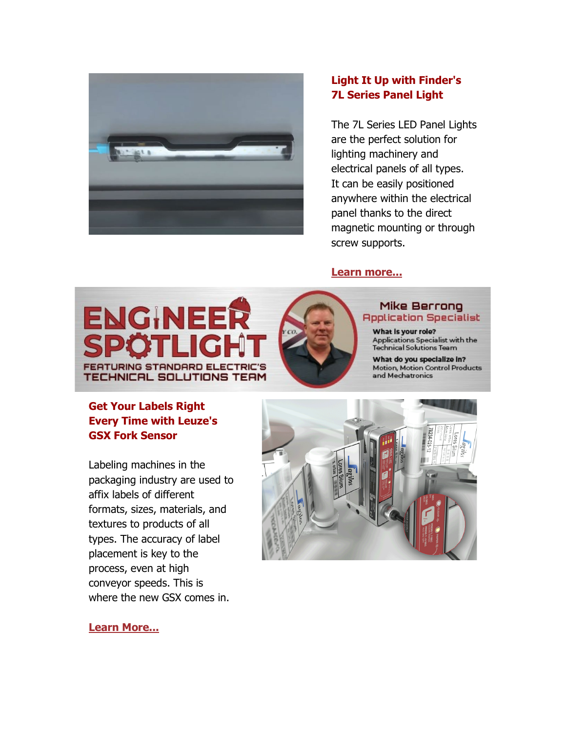

## **[Light It Up with Finder's](https://nam04.safelinks.protection.outlook.com/?url=https%3A%2F%2Finfo.standardelectricsupply.com%2Fe2t%2Ftc%2FVVSrP54M4ZD7W4kVyQT94-_WtW6J3_6X4p1HCkN8pR4D73p_b1V1-WJV7CgZhRW1PCN_v2PfpwGW7zLxtJ2GbNL3W8XmqMY7l4q00W7Dc8CH8nqy4gW13JH1S6m3mhlV3LS3x5b7rM1W52dC0K8nfRpSW7V33RM8J7l6fW4WKWHh4nqVHfW1PT7224kDNrKV4ds0d1L479ZW5kcfJy2qyHpsV440n28w5LvVW4R92tr3GZ2PZW41tDmZ6bm297W8ZWy1C8BZdMtW8C2hTB4T2sQ3W1rPHtQ5rS4v4V6RlmJ31nKSWW6K9wPl5shJBtW8J6t0N2NR52QW6btS312qxDyzVVhL356PK5ZmN3dMM_0qxg6nW4Jmr8s1vBF_RW5xfBBG2SZpq4W7nGtW72mqym1W33WDq493L2jhW1zfMM91sbK1mW8vkqMv8x_dBX35JZ1&data=04%7C01%7Cdgebelein%40standardelectricsupply.com%7Cb18e539c114d4a0a2dc108d8e4a2b51c%7C4b02a9df33c0464e84121b8c3bcfec3c%7C0%7C0%7C637510734759254681%7CUnknown%7CTWFpbGZsb3d8eyJWIjoiMC4wLjAwMDAiLCJQIjoiV2luMzIiLCJBTiI6Ik1haWwiLCJXVCI6Mn0%3D%7C1000&sdata=1Wuo4x9UE6AleOGMC%2BnF7Sco%2BQw40dO0SsNuESOcBFw%3D&reserved=0)  [7L Series Panel Light](https://nam04.safelinks.protection.outlook.com/?url=https%3A%2F%2Finfo.standardelectricsupply.com%2Fe2t%2Ftc%2FVVSrP54M4ZD7W4kVyQT94-_WtW6J3_6X4p1HCkN8pR4D73p_b1V1-WJV7CgZhRW1PCN_v2PfpwGW7zLxtJ2GbNL3W8XmqMY7l4q00W7Dc8CH8nqy4gW13JH1S6m3mhlV3LS3x5b7rM1W52dC0K8nfRpSW7V33RM8J7l6fW4WKWHh4nqVHfW1PT7224kDNrKV4ds0d1L479ZW5kcfJy2qyHpsV440n28w5LvVW4R92tr3GZ2PZW41tDmZ6bm297W8ZWy1C8BZdMtW8C2hTB4T2sQ3W1rPHtQ5rS4v4V6RlmJ31nKSWW6K9wPl5shJBtW8J6t0N2NR52QW6btS312qxDyzVVhL356PK5ZmN3dMM_0qxg6nW4Jmr8s1vBF_RW5xfBBG2SZpq4W7nGtW72mqym1W33WDq493L2jhW1zfMM91sbK1mW8vkqMv8x_dBX35JZ1&data=04%7C01%7Cdgebelein%40standardelectricsupply.com%7Cb18e539c114d4a0a2dc108d8e4a2b51c%7C4b02a9df33c0464e84121b8c3bcfec3c%7C0%7C0%7C637510734759254681%7CUnknown%7CTWFpbGZsb3d8eyJWIjoiMC4wLjAwMDAiLCJQIjoiV2luMzIiLCJBTiI6Ik1haWwiLCJXVCI6Mn0%3D%7C1000&sdata=1Wuo4x9UE6AleOGMC%2BnF7Sco%2BQw40dO0SsNuESOcBFw%3D&reserved=0)**

The 7L Series LED Panel Lights are the perfect solution for lighting machinery and electrical panels of all types. It can be easily positioned anywhere within the electrical panel thanks to the direct magnetic mounting or through screw supports.

### **[Learn more...](https://nam04.safelinks.protection.outlook.com/?url=https%3A%2F%2Finfo.standardelectricsupply.com%2Fe2t%2Ftc%2FVVSrP54M4ZD7W4kVyQT94-_WtW6J3_6X4p1HCkN8pR4D73p_b1V1-WJV7CgYZHW5gYd9T1MqmNxW3Q1NHD5B6kXSW1LJsJh7gyc-gW8-H9h854R2F0N7ZDHdqZldMVW44rkRM2s2dNwN9kLg7s6YPJkW4SPCN38hxLNTVHFnw998ZsqYW8jC4Cv3bMBK_W7qbYD84m91rqW4td3733-ZxMHW4sMKxr4W2cX7W2Pk4VK33DNxFW3yk0wQ1jLxK5W5fKbZR5d-YdlW8lGlxX4nPYRGW12cGSN29GXN3W8VFhMH7F3BYLW3gTvTy6_PQB8W9kcV2S2g5ZXbN5mM6WtmbQs-N6zSv4Ylm3s8W3NTP3x85rwqbW8K8jgD3GXW_dW2RBXjy3bRgYrVXxdNG4yTLrSW3Crp2Q84JqGHW4tqcQ434xlqYN3-7F0H24Ng733x-1&data=04%7C01%7Cdgebelein%40standardelectricsupply.com%7Cb18e539c114d4a0a2dc108d8e4a2b51c%7C4b02a9df33c0464e84121b8c3bcfec3c%7C0%7C0%7C637510734759254681%7CUnknown%7CTWFpbGZsb3d8eyJWIjoiMC4wLjAwMDAiLCJQIjoiV2luMzIiLCJBTiI6Ik1haWwiLCJXVCI6Mn0%3D%7C1000&sdata=iCq09SwIXrRSTBl89OfiwhV3exOaWl6yF8Vv7FYY%2Fv4%3D&reserved=0)**





#### **Mike Berrong Application Specialist**

What is your role? Applications Specialist with the<br>Technical Solutions Team

What do you specialize in? Motion, Motion Control Products and Mechatronics

# **[Get Your Labels Right](https://nam04.safelinks.protection.outlook.com/?url=https%3A%2F%2Finfo.standardelectricsupply.com%2Fe2t%2Ftc%2FVVSrP54M4ZD7W4kVyQT94-_WtW6J3_6X4p1HCkN8pR4D73p_b1V1-WJV7CgVkrVYhvvw8M5T-fW7FMbQV8Qpmb7W5XSBYk1ycKX5W1kwBxk3_dqKMW64dnD46VHs9wN8M_0fs_kmbvVGpc1J4JvdprN75yZ94gcxvfW7zdMyj20BdBtW8X0Gw447N4yRW4X6-8q2R6LwGW8tKKLM2-lJhsW4jXMbM8bghNKW23PJSr6RqP7SVnq3Tg4Y454XW3BkyrB7zDXM0W8NtDvc4brG4DW1dqs4p3pMrZ4W6YM30k8TlfxTVHKQv81sMy2SW4Dm56j6_fy_2W4X77rw3_TPklW2kMTGY2rkNbpW9ckSDM8WBn1cN1l_NrCdxcs5W1hJSV6689tg6W1TwFVn6Y60tBW57vD5d35jh2hN30mRNxZn0cdV19Q3T46ySF03n691&data=04%7C01%7Cdgebelein%40standardelectricsupply.com%7Cb18e539c114d4a0a2dc108d8e4a2b51c%7C4b02a9df33c0464e84121b8c3bcfec3c%7C0%7C0%7C637510734759264675%7CUnknown%7CTWFpbGZsb3d8eyJWIjoiMC4wLjAwMDAiLCJQIjoiV2luMzIiLCJBTiI6Ik1haWwiLCJXVCI6Mn0%3D%7C1000&sdata=9LIFJhPbZC16j78O%2BPTuCb3QIxteoGktf1Yb77b7528%3D&reserved=0)  [Every Time with Leuze's](https://nam04.safelinks.protection.outlook.com/?url=https%3A%2F%2Finfo.standardelectricsupply.com%2Fe2t%2Ftc%2FVVSrP54M4ZD7W4kVyQT94-_WtW6J3_6X4p1HCkN8pR4D73p_b1V1-WJV7CgVkrVYhvvw8M5T-fW7FMbQV8Qpmb7W5XSBYk1ycKX5W1kwBxk3_dqKMW64dnD46VHs9wN8M_0fs_kmbvVGpc1J4JvdprN75yZ94gcxvfW7zdMyj20BdBtW8X0Gw447N4yRW4X6-8q2R6LwGW8tKKLM2-lJhsW4jXMbM8bghNKW23PJSr6RqP7SVnq3Tg4Y454XW3BkyrB7zDXM0W8NtDvc4brG4DW1dqs4p3pMrZ4W6YM30k8TlfxTVHKQv81sMy2SW4Dm56j6_fy_2W4X77rw3_TPklW2kMTGY2rkNbpW9ckSDM8WBn1cN1l_NrCdxcs5W1hJSV6689tg6W1TwFVn6Y60tBW57vD5d35jh2hN30mRNxZn0cdV19Q3T46ySF03n691&data=04%7C01%7Cdgebelein%40standardelectricsupply.com%7Cb18e539c114d4a0a2dc108d8e4a2b51c%7C4b02a9df33c0464e84121b8c3bcfec3c%7C0%7C0%7C637510734759264675%7CUnknown%7CTWFpbGZsb3d8eyJWIjoiMC4wLjAwMDAiLCJQIjoiV2luMzIiLCJBTiI6Ik1haWwiLCJXVCI6Mn0%3D%7C1000&sdata=9LIFJhPbZC16j78O%2BPTuCb3QIxteoGktf1Yb77b7528%3D&reserved=0)  [GSX Fork Sensor](https://nam04.safelinks.protection.outlook.com/?url=https%3A%2F%2Finfo.standardelectricsupply.com%2Fe2t%2Ftc%2FVVSrP54M4ZD7W4kVyQT94-_WtW6J3_6X4p1HCkN8pR4D73p_b1V1-WJV7CgVkrVYhvvw8M5T-fW7FMbQV8Qpmb7W5XSBYk1ycKX5W1kwBxk3_dqKMW64dnD46VHs9wN8M_0fs_kmbvVGpc1J4JvdprN75yZ94gcxvfW7zdMyj20BdBtW8X0Gw447N4yRW4X6-8q2R6LwGW8tKKLM2-lJhsW4jXMbM8bghNKW23PJSr6RqP7SVnq3Tg4Y454XW3BkyrB7zDXM0W8NtDvc4brG4DW1dqs4p3pMrZ4W6YM30k8TlfxTVHKQv81sMy2SW4Dm56j6_fy_2W4X77rw3_TPklW2kMTGY2rkNbpW9ckSDM8WBn1cN1l_NrCdxcs5W1hJSV6689tg6W1TwFVn6Y60tBW57vD5d35jh2hN30mRNxZn0cdV19Q3T46ySF03n691&data=04%7C01%7Cdgebelein%40standardelectricsupply.com%7Cb18e539c114d4a0a2dc108d8e4a2b51c%7C4b02a9df33c0464e84121b8c3bcfec3c%7C0%7C0%7C637510734759264675%7CUnknown%7CTWFpbGZsb3d8eyJWIjoiMC4wLjAwMDAiLCJQIjoiV2luMzIiLCJBTiI6Ik1haWwiLCJXVCI6Mn0%3D%7C1000&sdata=9LIFJhPbZC16j78O%2BPTuCb3QIxteoGktf1Yb77b7528%3D&reserved=0)**

Labeling machines in the packaging industry are used to affix labels of different formats, sizes, materials, and textures to products of all types. The accuracy of label placement is key to the process, even at high conveyor speeds. This is where the new GSX comes in.



**[Learn More...](https://nam04.safelinks.protection.outlook.com/?url=https%3A%2F%2Finfo.standardelectricsupply.com%2Fe2t%2Ftc%2FVVSrP54M4ZD7W4kVyQT94-_WtW6J3_6X4p1HCkN8pR4D73p_b1V1-WJV7CgJQ6W3vrfJK8VT256W8Z70dt82QzTKW6r6GD63pTDKNW8dZsm14Nh0SwW1ksqTD1xqLH6W91NwX888BXG2W7mZf2Z9jyJD5W64W7n-1s61sgW2lVKvh5YsqykVy0TFq4b0MX7W85WpHc246fbXW4qsKnr3ZvfNdVPbzRB1SWvvfN4k3Y9KyWtmYW2XqlVl7CH2y0W1Kq28279gmZJW47z1dX8XpXY7W6rwctP60Q1RdW1k61Zb8Y9SWzW9hgsWb8XCfTfW2WtxmV4_T2GlW24GnFg762qkHW7sS43K72lhClVG7KTT7RLWqTW2dhqGl6nfKgTW6hc2p-6vfcRsW6VnxvP8RPSy2W6SHC5L4kwCJnW3f_T4G2vfn_SW3tC1_s2PVgLj3h981&data=04%7C01%7Cdgebelein%40standardelectricsupply.com%7Cb18e539c114d4a0a2dc108d8e4a2b51c%7C4b02a9df33c0464e84121b8c3bcfec3c%7C0%7C0%7C637510734759274672%7CUnknown%7CTWFpbGZsb3d8eyJWIjoiMC4wLjAwMDAiLCJQIjoiV2luMzIiLCJBTiI6Ik1haWwiLCJXVCI6Mn0%3D%7C1000&sdata=p71an%2FLfSLRS4QFmyqkwuI4NRHVkN%2FrCJ56PNugdNoM%3D&reserved=0)**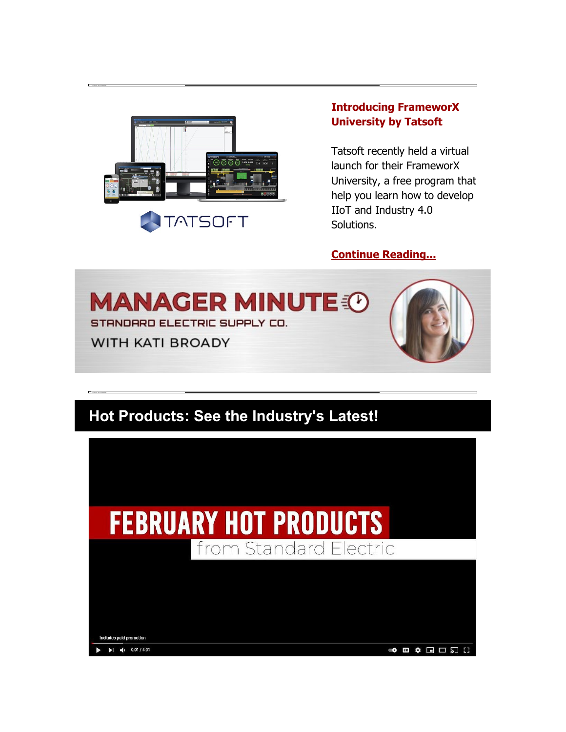

## **[Introducing FrameworX](https://nam04.safelinks.protection.outlook.com/?url=https%3A%2F%2Finfo.standardelectricsupply.com%2Fe2t%2Ftc%2FVVSrP54M4ZD7W4kVyQT94-_WtW6J3_6X4p1HCkN8pR4D73p_b1V1-WJV7CgL1sW7x_jRY1CcVJ3W52SLBy7FD50XN3xmYGHxvhsHW7Bgv5Z4j_w0dW51gNtN4SrLZvW2M6cwp1_Mw3tW3mjPSL2q04-9W19V8zJ72W7lXW4scQCb8c8RVQW3bpLsR7rTRZHW5RbnrL32yHsdW96JncC1LvF_nVYRRlN87z_tnW7fZmPy8GcYTZW4W2y7V48-8v4W25Kv8Q3wS0Q7W3D__NT783g70N2KJFyFn6LBlW22Q_6q98W6nBF1WRyjGc4VpW6bMyjB1kM25HW6BG2J117_4V1W3MSt3v8DQYMpW28HqCB2Yvdx7W7Pdk3L52Kc_BW9ftwD08tVmKVN85S0ztf-vqvN2k0RpjPsMQYN3HT0SBjTK8PW5jJWKn3wV3X63fjz1&data=04%7C01%7Cdgebelein%40standardelectricsupply.com%7Cb18e539c114d4a0a2dc108d8e4a2b51c%7C4b02a9df33c0464e84121b8c3bcfec3c%7C0%7C0%7C637510734759284664%7CUnknown%7CTWFpbGZsb3d8eyJWIjoiMC4wLjAwMDAiLCJQIjoiV2luMzIiLCJBTiI6Ik1haWwiLCJXVCI6Mn0%3D%7C1000&sdata=RqvpyzckixgVmdPbgPkZX5cAgKtXGeMPBfxt9srkSpA%3D&reserved=0)  [University by Tatsoft](https://nam04.safelinks.protection.outlook.com/?url=https%3A%2F%2Finfo.standardelectricsupply.com%2Fe2t%2Ftc%2FVVSrP54M4ZD7W4kVyQT94-_WtW6J3_6X4p1HCkN8pR4D73p_b1V1-WJV7CgL1sW7x_jRY1CcVJ3W52SLBy7FD50XN3xmYGHxvhsHW7Bgv5Z4j_w0dW51gNtN4SrLZvW2M6cwp1_Mw3tW3mjPSL2q04-9W19V8zJ72W7lXW4scQCb8c8RVQW3bpLsR7rTRZHW5RbnrL32yHsdW96JncC1LvF_nVYRRlN87z_tnW7fZmPy8GcYTZW4W2y7V48-8v4W25Kv8Q3wS0Q7W3D__NT783g70N2KJFyFn6LBlW22Q_6q98W6nBF1WRyjGc4VpW6bMyjB1kM25HW6BG2J117_4V1W3MSt3v8DQYMpW28HqCB2Yvdx7W7Pdk3L52Kc_BW9ftwD08tVmKVN85S0ztf-vqvN2k0RpjPsMQYN3HT0SBjTK8PW5jJWKn3wV3X63fjz1&data=04%7C01%7Cdgebelein%40standardelectricsupply.com%7Cb18e539c114d4a0a2dc108d8e4a2b51c%7C4b02a9df33c0464e84121b8c3bcfec3c%7C0%7C0%7C637510734759284664%7CUnknown%7CTWFpbGZsb3d8eyJWIjoiMC4wLjAwMDAiLCJQIjoiV2luMzIiLCJBTiI6Ik1haWwiLCJXVCI6Mn0%3D%7C1000&sdata=RqvpyzckixgVmdPbgPkZX5cAgKtXGeMPBfxt9srkSpA%3D&reserved=0)**

Tatsoft recently held a virtual launch for their FrameworX University, a free program that help you learn how to develop IIoT and Industry 4.0 Solutions.

#### **[Continue Reading...](https://nam04.safelinks.protection.outlook.com/?url=https%3A%2F%2Finfo.standardelectricsupply.com%2Fe2t%2Ftc%2FVVSrP54M4ZD7W4kVyQT94-_WtW6J3_6X4p1HCkN8pR4D73p_b1V1-WJV7CgZs3V-6J463kVC-XW7mhF9k550nlkW7xdq2b29VBD5W2vgTnW202mrTW7xYF_q4dqx7fN7rtq_l-qLNtW2byhLk7Vry1wW64PWvv70XbCzW1v83B78tv-MMW4ykMYV7hQRFyW15bCD51-ZLXZW7wpB3c17F3nBW46hz6h37GWNXW1FdHR27M-ThKW1KyDL97lZKcWW5_lVr34xlBjzW5grV4n4Q0yxlW2kdPjY83cNQgW9dZbmk5VcRTvW2zRzHD7w6FzrW2WSHkl8bglcCW82v7df2mRs74W85pTV-48Z3BHW4Zv8S-6r70BrW1vcmW243stBTW8ts-k95TQ9k6W2ttm_n7X1tMGW4FVrHJ3qrCt7W1RXlB26VxvmYW6s8NGW7NCYFF3kGc1&data=04%7C01%7Cdgebelein%40standardelectricsupply.com%7Cb18e539c114d4a0a2dc108d8e4a2b51c%7C4b02a9df33c0464e84121b8c3bcfec3c%7C0%7C0%7C637510734759294658%7CUnknown%7CTWFpbGZsb3d8eyJWIjoiMC4wLjAwMDAiLCJQIjoiV2luMzIiLCJBTiI6Ik1haWwiLCJXVCI6Mn0%3D%7C1000&sdata=Jsge8OUsh7GNvxAM6RUtuRGvCM3TtKdzKlLsM%2Feewa0%3D&reserved=0)**



# **Hot Products: See the Industry's Latest!**